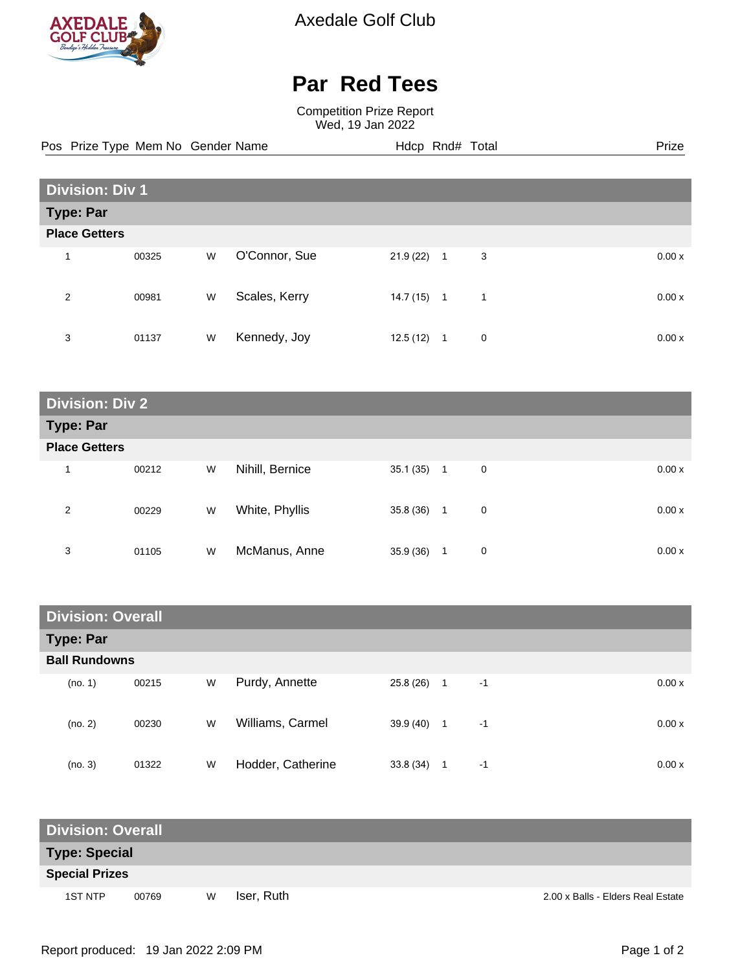

Axedale Golf Club

## **Par Red Tees**

Competition Prize Report Wed, 19 Jan 2022

Pos Prize Type Mem No Gender Name **Hdcp Rnd# Total** Prize Prize

| <b>Division: Div 1</b>  |       |   |               |           |                     |       |  |  |
|-------------------------|-------|---|---------------|-----------|---------------------|-------|--|--|
| <b>Type: Par</b>        |       |   |               |           |                     |       |  |  |
| <b>Place Getters</b>    |       |   |               |           |                     |       |  |  |
| $\overline{\mathbf{A}}$ | 00325 | W | O'Connor, Sue | 21.9(22)  | 3<br>$\overline{1}$ | 0.00x |  |  |
| 2                       | 00981 | W | Scales, Kerry | 14.7 (15) | 1<br>$\mathbf{1}$   | 0.00x |  |  |
| 3                       | 01137 | W | Kennedy, Joy  | 12.5(12)  | $\mathbf 0$<br>1    | 0.00x |  |  |

| <b>Division: Div 2</b> |       |   |                 |           |                               |       |  |
|------------------------|-------|---|-----------------|-----------|-------------------------------|-------|--|
| <b>Type: Par</b>       |       |   |                 |           |                               |       |  |
| <b>Place Getters</b>   |       |   |                 |           |                               |       |  |
| 1                      | 00212 | W | Nihill, Bernice | 35.1 (35) | $\mathbf 0$<br>$\overline{1}$ | 0.00x |  |
| 2                      | 00229 | W | White, Phyllis  | 35.8 (36) | 0<br>1                        | 0.00x |  |
| 3                      | 01105 | W | McManus, Anne   | 35.9 (36) | 0<br>1                        | 0.00x |  |

| <b>Division: Overall</b> |       |   |                   |           |                |      |  |       |
|--------------------------|-------|---|-------------------|-----------|----------------|------|--|-------|
| <b>Type: Par</b>         |       |   |                   |           |                |      |  |       |
| <b>Ball Rundowns</b>     |       |   |                   |           |                |      |  |       |
| (no. 1)                  | 00215 | W | Purdy, Annette    | 25.8 (26) | $\overline{1}$ | $-1$ |  | 0.00x |
| (no. 2)                  | 00230 | W | Williams, Carmel  | 39.9 (40) | $\overline{1}$ | $-1$ |  | 0.00x |
| (no. 3)                  | 01322 | W | Hodder, Catherine | 33.8(34)  | 1              | $-1$ |  | 0.00x |

| <b>Division: Overall</b> |       |   |            |                                   |  |  |  |  |
|--------------------------|-------|---|------------|-----------------------------------|--|--|--|--|
| <b>Type: Special</b>     |       |   |            |                                   |  |  |  |  |
| <b>Special Prizes</b>    |       |   |            |                                   |  |  |  |  |
| 1ST NTP                  | 00769 | W | Iser, Ruth | 2.00 x Balls - Elders Real Estate |  |  |  |  |